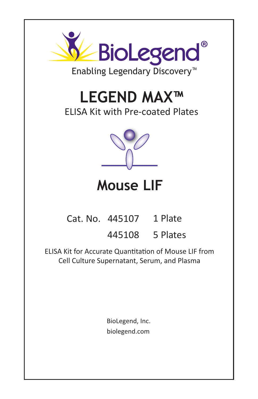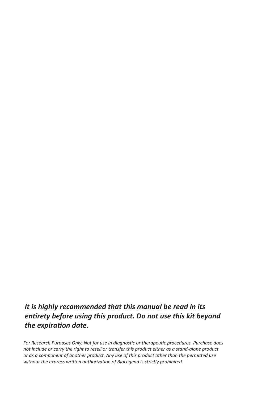## *It is highly recommended that this manual be read in its entirety before using this product. Do not use this kit beyond the expiration date.*

For Research Purposes Only. Not for use in diagnostic or therapeutic procedures. Purchase does *not include or carry the right to resell or transfer this product either as a stand-alone product or as a component of another product. Any use of this product other than the permied use*  without the express written authorization of BioLegend is strictly prohibited.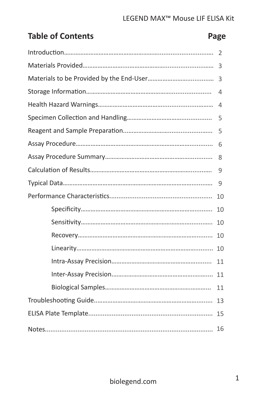# **Table of Contents Page**

| 2  |
|----|
| 3  |
| 3  |
| 4  |
| 4  |
| 5  |
| 5  |
| 6  |
| 8  |
| 9  |
| 9  |
| 10 |
| 10 |
| 10 |
| 10 |
| 10 |
| 11 |
|    |
| 11 |
| 13 |
|    |
| 16 |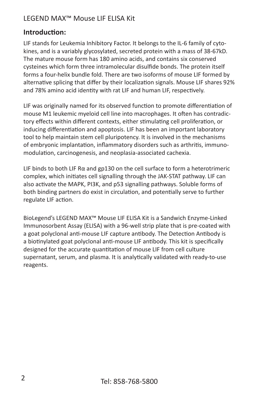#### **Introduction:**

LIF stands for Leukemia Inhibitory Factor. It belongs to the IL-6 family of cytokines, and is a variably glycosylated, secreted protein with a mass of 38-67kD. The mature mouse form has 180 amino acids, and contains six conserved cysteines which form three intramolecular disulfide bonds. The protein itself forms a four-helix bundle fold. There are two isoforms of mouse LIF formed by alternative splicing that differ by their localization signals. Mouse LIF shares 92% and 78% amino acid identity with rat LIF and human LIF, respectively.

LIF was originally named for its observed function to promote differentiation of mouse M1 leukemic myeloid cell line into macrophages. It often has contradictory effects within different contexts, either stimulating cell proliferation, or inducing differentiation and apoptosis. LIF has been an important laboratory tool to help maintain stem cell pluripotency. It is involved in the mechanisms of embryonic implantation, inflammatory disorders such as arthritis, immunomodulation, carcinogenesis, and neoplasia-associated cachexia.

LIF binds to both LIF Rα and gp130 on the cell surface to form a heterotrimeric complex, which initiates cell signalling through the JAK-STAT pathway. LIF can also activate the MAPK, PI3K, and p53 signalling pathways. Soluble forms of both binding partners do exist in circulation, and potentially serve to further regulate LIF action.

BioLegend's LEGEND MAX™ Mouse LIF ELISA Kit is a Sandwich Enzyme-Linked Immunosorbent Assay (ELISA) with a 96-well strip plate that is pre-coated with a goat polyclonal anti-mouse LIF capture antibody. The Detection Antibody is a biotinylated goat polyclonal anti-mouse LIF antibody. This kit is specifically designed for the accurate quantitation of mouse LIF from cell culture supernatant, serum, and plasma. It is analytically validated with ready-to-use reagents.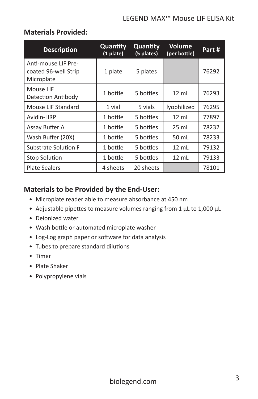#### **Materials Provided:**

| <b>Description</b>                                        | Quantity<br>$(1$ plate) | Quantity<br>(5 plates) | <b>Volume</b><br>(per bottle) | Part# |
|-----------------------------------------------------------|-------------------------|------------------------|-------------------------------|-------|
| Anti-mouse LIF Pre-<br>coated 96-well Strip<br>Microplate | 1 plate                 | 5 plates               |                               | 76292 |
| Mouse LIF<br>Detection Antibody                           | 1 bottle                | 5 bottles              | $12 \text{ mL}$               | 76293 |
| Mouse LIF Standard                                        | 1 vial                  | 5 vials                | lyophilized                   | 76295 |
| Avidin-HRP                                                | 1 bottle                | 5 bottles              | $12 \text{ mL}$               | 77897 |
| Assay Buffer A                                            | 1 bottle                | 5 bottles              | $25 \text{ mL}$               | 78232 |
| Wash Buffer (20X)                                         | 1 bottle                | 5 bottles              | 50 mL                         | 78233 |
| <b>Substrate Solution F</b>                               | 1 bottle                | 5 bottles              | $12 \text{ mL}$               | 79132 |
| <b>Stop Solution</b>                                      | 1 bottle                | 5 bottles              | $12 \text{ mL}$               | 79133 |
| <b>Plate Sealers</b>                                      | 4 sheets                | 20 sheets              |                               | 78101 |

#### **Materials to be Provided by the End-User:**

- Microplate reader able to measure absorbance at 450 nm
- Adjustable pipettes to measure volumes ranging from 1 µL to 1,000 µL
- Deionized water
- Wash bottle or automated microplate washer
- Log-Log graph paper or software for data analysis
- Tubes to prepare standard dilutions
- Timer
- Plate Shaker
- Polypropylene vials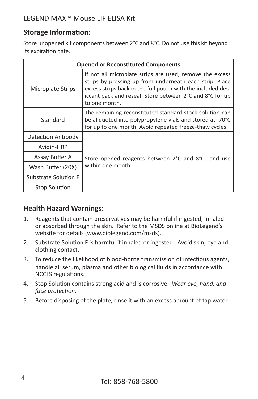## **Storage Information:**

Store unopened kit components between 2°C and 8°C. Do not use this kit beyond its expiration date.

| <b>Opened or Reconstituted Components</b> |                                                                                                                                                                                                                                                                 |  |
|-------------------------------------------|-----------------------------------------------------------------------------------------------------------------------------------------------------------------------------------------------------------------------------------------------------------------|--|
| Microplate Strips                         | If not all microplate strips are used, remove the excess<br>strips by pressing up from underneath each strip. Place<br>excess strips back in the foil pouch with the included des-<br>iccant pack and reseal. Store between 2°C and 8°C for up<br>to one month. |  |
| Standard                                  | The remaining reconstituted standard stock solution can<br>be aliquoted into polypropylene vials and stored at -70°C<br>for up to one month. Avoid repeated freeze-thaw cycles.                                                                                 |  |
| Detection Antibody                        |                                                                                                                                                                                                                                                                 |  |
| Avidin-HRP                                |                                                                                                                                                                                                                                                                 |  |
| Assay Buffer A                            | Store opened reagents between 2°C and 8°C<br>and use                                                                                                                                                                                                            |  |
| Wash Buffer (20X)                         | within one month.                                                                                                                                                                                                                                               |  |
| Substrate Solution F                      |                                                                                                                                                                                                                                                                 |  |
| Stop Solution                             |                                                                                                                                                                                                                                                                 |  |

#### **Health Hazard Warnings:**

- 1. Reagents that contain preservatives may be harmful if ingested, inhaled or absorbed through the skin. Refer to the MSDS online at BioLegend's website for details (www.biolegend.com/msds).
- 2. Substrate Solution F is harmful if inhaled or ingested. Avoid skin, eye and clothing contact.
- 3. To reduce the likelihood of blood-borne transmission of infectious agents, handle all serum, plasma and other biological fluids in accordance with NCCLS regulations.
- 4. Stop Solution contains strong acid and is corrosive. *Wear eye, hand, and face protection.*
- 5. Before disposing of the plate, rinse it with an excess amount of tap water.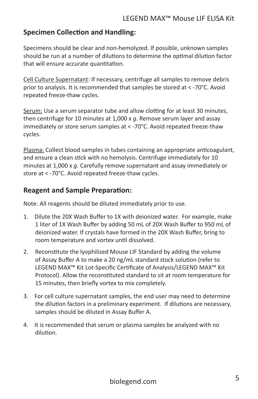### **Specimen Collection and Handling:**

Specimens should be clear and non-hemolyzed. If possible, unknown samples should be run at a number of dilutions to determine the optimal dilution factor that will ensure accurate quantitation.

Cell Culture Supernatant: If necessary, centrifuge all samples to remove debris prior to analysis. It is recommended that samples be stored at < -70°C. Avoid repeated freeze-thaw cycles.

Serum: Use a serum separator tube and allow clotting for at least 30 minutes, then centrifuge for 10 minutes at 1,000 x *g*. Remove serum layer and assay immediately or store serum samples at < -70°C. Avoid repeated freeze-thaw cycles.

Plasma: Collect blood samples in tubes containing an appropriate anticoagulant, and ensure a clean stick with no hemolysis. Centrifuge immediately for 10 minutes at 1,000 x *g*. Carefully remove supernatant and assay immediately or store at < -70°C. Avoid repeated freeze-thaw cycles.

#### **Reagent and Sample Preparation:**

Note: All reagents should be diluted immediately prior to use.

- 1. Dilute the 20X Wash Buffer to 1X with deionized water. For example, make 1 liter of 1X Wash Buffer by adding 50 mL of 20X Wash Buffer to 950 mL of deionized water. If crystals have formed in the 20X Wash Buffer, bring to room temperature and vortex until dissolved.
- 2. Reconstitute the lyophilized Mouse LIF Standard by adding the volume of Assay Buffer A to make a 20 ng/mL standard stock solution (refer to LEGEND MAX™ Kit Lot-Specific Certificate of Analysis/LEGEND MAX™ Kit Protocol). Allow the reconstituted standard to sit at room temperature for 15 minutes, then briefly vortex to mix completely.
- 3. For cell culture supernatant samples, the end user may need to determine the dilution factors in a preliminary experiment. If dilutions are necessary, samples should be diluted in Assay Buffer A.
- 4. It is recommended that serum or plasma samples be analyzed with no dilution.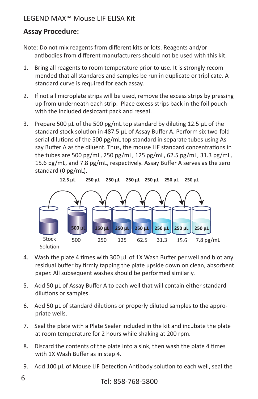## **Assay Procedure:**

- Note: Do not mix reagents from different kits or lots. Reagents and/or antibodies from different manufacturers should not be used with this kit.
- 1. Bring all reagents to room temperature prior to use. It is strongly recommended that all standards and samples be run in duplicate or triplicate. A standard curve is required for each assay.
- 2. If not all microplate strips will be used, remove the excess strips by pressing up from underneath each strip. Place excess strips back in the foil pouch with the included desiccant pack and reseal.
- 3. Prepare 500 µL of the 500 pg/mL top standard by diluting 12.5 µL of the standard stock solution in 487.5 µL of Assay Buffer A. Perform six two-fold serial dilutions of the 500 pg/mL top standard in separate tubes using Assay Buffer A as the diluent. Thus, the mouse LIF standard concentrations in the tubes are 500 pg/mL, 250 pg/mL, 125 pg/mL, 62.5 pg/mL, 31.3 pg/mL, 15.6 pg/mL, and 7.8 pg/mL, respectively. Assay Buffer A serves as the zero standard (0 pg/mL).



- 4. Wash the plate 4 times with 300  $\mu$ L of 1X Wash Buffer per well and blot any residual buffer by firmly tapping the plate upside down on clean, absorbent paper. All subsequent washes should be performed similarly.
- 5. Add 50 μL of Assay Buffer A to each well that will contain either standard dilutions or samples.
- 6. Add 50 μL of standard dilutions or properly diluted samples to the appropriate wells.
- 7. Seal the plate with a Plate Sealer included in the kit and incubate the plate at room temperature for 2 hours while shaking at 200 rpm.
- 8. Discard the contents of the plate into a sink, then wash the plate 4 times with 1X Wash Buffer as in step 4.
- 9. Add 100 μL of Mouse LIF Detection Antibody solution to each well, seal the

6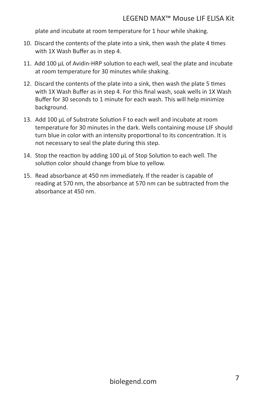plate and incubate at room temperature for 1 hour while shaking.

- 10. Discard the contents of the plate into a sink, then wash the plate 4 times with 1X Wash Buffer as in step 4.
- 11. Add 100 μL of Avidin-HRP solution to each well, seal the plate and incubate at room temperature for 30 minutes while shaking.
- 12. Discard the contents of the plate into a sink, then wash the plate 5 times with 1X Wash Buffer as in step 4. For this final wash, soak wells in 1X Wash Buffer for 30 seconds to 1 minute for each wash. This will help minimize background.
- 13. Add 100 µL of Substrate Solution F to each well and incubate at room temperature for 30 minutes in the dark. Wells containing mouse LIF should turn blue in color with an intensity proportional to its concentration. It is not necessary to seal the plate during this step.
- 14. Stop the reaction by adding 100 µL of Stop Solution to each well. The solution color should change from blue to yellow.
- 15. Read absorbance at 450 nm immediately. If the reader is capable of reading at 570 nm, the absorbance at 570 nm can be subtracted from the absorbance at 450 nm.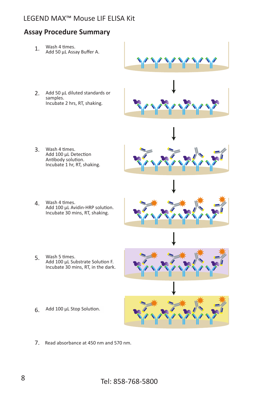#### **Assay Procedure Summary**

1. Wash 4 times. Add 50 μL Assay Buffer A.



2. Add 50 μL diluted standards or samples. Incubate 2 hrs, RT, shaking.



- 3. Wash 4 times. Add 100 μL Detection Antibody solution. Incubate 1 hr, RT, shaking.
- 4. Wash 4 times. Add 100 μL Avidin-HRP solution. Incubate 30 mins, RT, shaking.



5. Wash 5 times. Add 100 μL Substrate Solution F. Incubate 30 mins, RT, in the dark.



6. Add 100 μL Stop Solution.



7. Read absorbance at 450 nm and 570 nm.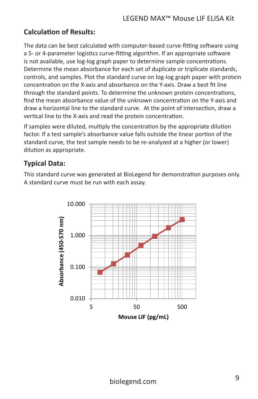#### **Calculation of Results:**

The data can be best calculated with computer-based curve-fitting software using a 5- or 4-parameter logistics curve-fitting algorithm. If an appropriate software is not available, use log-log graph paper to determine sample concentrations. Determine the mean absorbance for each set of duplicate or triplicate standards, controls, and samples. Plot the standard curve on log-log graph paper with protein concentration on the X-axis and absorbance on the Y-axis. Draw a best fit line through the standard points. To determine the unknown protein concentrations, find the mean absorbance value of the unknown concentration on the Y-axis and draw a horizontal line to the standard curve. At the point of intersection, draw a vertical line to the X-axis and read the protein concentration.

If samples were diluted, multiply the concentration by the appropriate dilution factor. If a test sample's absorbance value falls outside the linear portion of the standard curve, the test sample needs to be re-analyzed at a higher (or lower) dilution as appropriate.

#### **Typical Data:**

This standard curve was generated at BioLegend for demonstration purposes only. A standard curve must be run with each assay.

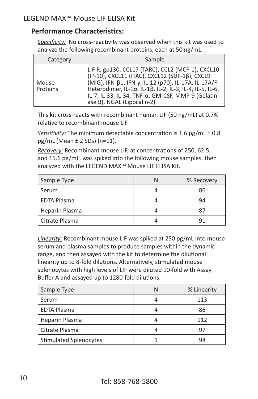#### **Performance Characteristics:**

*Specificity:* No cross-reactivity was observed when this kit was used to analyze the following recombinant proteins, each at 50 ng/mL.

| Category | Sample                                                                                                                                                                                                                                    |
|----------|-------------------------------------------------------------------------------------------------------------------------------------------------------------------------------------------------------------------------------------------|
| Mouse    | LIF R, gp130, CCL17 (TARC), CCL2 (MCP-1), CXCL10<br>(IP-10), CXCL11 (ITAC), CXCL12 (SDF-1β), CXCL9<br>(MIG), IFN-β1, IFN-γ, IL-12 (p70), IL-17A, IL-17A/F<br>Heterodimer, IL-1α, IL-1β, IL-2, IL-3, IL-4, IL-5, IL-6,<br>IL-7, IL-33, IL- |
| Proteins | ase B), NGAL (Lipocalin-2)                                                                                                                                                                                                                |

This kit cross-reacts with recombinant human LIF (50 ng/mL) at 0.7% relative to recombinant mouse LIF.

*Sensitivity:* The minimum detectable concentration is 1.6 pg/mL ± 0.8 pg/mL (Mean ± 2 SDs) (n=11).

*Recovery:* Recombinant mouse LIF, at concentrations of 250, 62.5, and 15.6 pg/mL, was spiked into the following mouse samples, then analyzed with the LEGEND MAX<sup>™</sup> Mouse LIF ELISA Kit.

| Sample Type        | % Recovery |
|--------------------|------------|
| Serum              | 86         |
| <b>EDTA Plasma</b> |            |
| Heparin Plasma     |            |
| Citrate Plasma     |            |

*Linearity:* Recombinant mouse LIF was spiked at 250 pg/mL into mouse serum and plasma samples to produce samples within the dynamic range, and then assayed with the kit to determine the dilutional linearity up to 8-fold dilutions. Alternatively, stimulated mouse splenocytes with high levels of LIF were diluted 10-fold with Assay Buffer A and assayed up to 1280-fold dilutions.

| Sample Type            | % Linearity |
|------------------------|-------------|
| Serum                  | 113         |
| <b>EDTA Plasma</b>     | 86          |
| Heparin Plasma         | 112         |
| l Citrate Plasma       |             |
| Stimulated Splenocytes | 98          |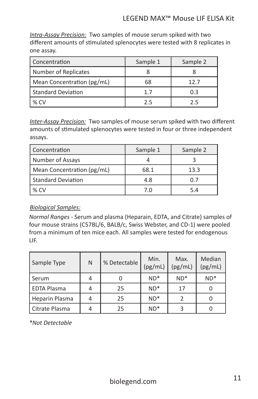*Intra-Assay Precision:* Two samples of mouse serum spiked with two different amounts of stimulated splenocytes were tested with 8 replicates in one assay.

| Concentration              | Sample 1 | Sample 2 |
|----------------------------|----------|----------|
| Number of Replicates       |          |          |
| Mean Concentration (pg/mL) | 68       | 12.7     |
| Standard Deviation         | 1.7      | 0.3      |
| $%$ CV                     | フ5       | フ5       |

*Inter-Assay Precision:* Two samples of mouse serum spiked with two different amounts of stimulated splenocytes were tested in four or three independent assays.

| Concentration              | Sample 1 | Sample 2 |
|----------------------------|----------|----------|
| Number of Assays           |          |          |
| Mean Concentration (pg/mL) | 68.1     | 13.3     |
| l Standard Deviation       | 4.8      | 0.7      |
| $%$ CV                     | 7 N      | 54       |

#### *Biological Samples:*

*Normal Ranges -* Serum and plasma (Heparain, EDTA, and Citrate) samples of four mouse strains (C57BL/6, BALB/c, Swiss Webster, and CD-1) were pooled from a minimum of ten mice each. All samples were tested for endogenous LIF.

| Sample Type        | N | % Detectable | Min.<br>(pg/mL) | Max.<br>(pg/mL) | Median<br>(pg/mL) |
|--------------------|---|--------------|-----------------|-----------------|-------------------|
| Serum              |   |              | $ND^*$          | $ND^*$          | $ND*$             |
| <b>EDTA Plasma</b> |   | 25           | $ND^*$          | 17              |                   |
| Heparin Plasma     |   | 25           | $ND^*$          |                 |                   |
| Citrate Plasma     |   | 25           | $ND^*$          |                 |                   |

*\*Not Detectable*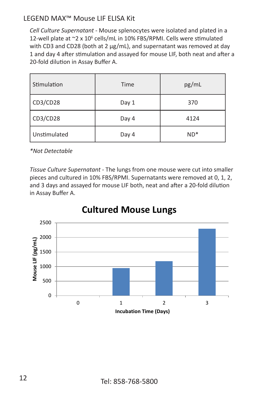*Cell Culture Supernatant -* Mouse splenocytes were isolated and plated in a 12-well plate at ~2 x 10<sup>6</sup> cells/mL in 10% FBS/RPMI. Cells were stimulated with CD3 and CD28 (both at 2 µg/mL), and supernatant was removed at day 1 and day 4 after stimulation and assayed for mouse LIF, both neat and after a 20-fold dilution in Assay Buffer A.

| Stimulation  | Time  | pg/mL  |
|--------------|-------|--------|
| CD3/CD28     | Day 1 | 370    |
| CD3/CD28     | Day 4 | 4124   |
| Unstimulated | Day 4 | $ND^*$ |

*\*Not Detectable*

*Tissue Culture Supernatant -* The lungs from one mouse were cut into smaller pieces and cultured in 10% FBS/RPMI. Supernatants were removed at 0, 1, 2, and 3 days and assayed for mouse LIF both, neat and after a 20-fold dilution in Assay Buffer A.



# **Cultured Mouse Lungs**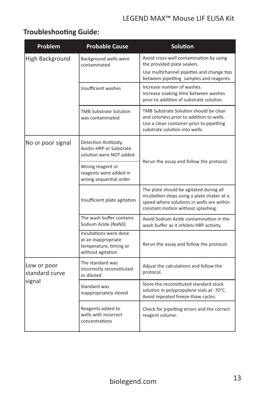## **Troubleshooting Guide:**

| Problem                                 | <b>Probable Cause</b>                                                                       | Solution                                                                                                                                                                 |  |
|-----------------------------------------|---------------------------------------------------------------------------------------------|--------------------------------------------------------------------------------------------------------------------------------------------------------------------------|--|
| High Background                         | Background wells were<br>contaminated                                                       | Avoid cross-well contamination by using<br>the provided plate sealers.                                                                                                   |  |
|                                         |                                                                                             | Use multichannel pipettes and change tips<br>between pipetting samples and reagents.                                                                                     |  |
|                                         | Insufficient washes                                                                         | Increase number of washes.<br>Increase soaking time between washes<br>prior to addition of substrate solution.                                                           |  |
|                                         | <b>TMB Substrate Solution</b><br>was contaminated                                           | TMB Substrate Solution should be clear<br>and colorless prior to addition to wells.<br>Use a clean container prior to pipetting<br>substrate solution into wells.        |  |
| No or poor signal                       | Detection Antibody,<br>Avidin-HRP or Substrate<br>solution were NOT added                   | Rerun the assay and follow the protocol.                                                                                                                                 |  |
|                                         | Wrong reagent or<br>reagents were added in<br>wrong sequential order                        |                                                                                                                                                                          |  |
|                                         | Insufficient plate agitation                                                                | The plate should be agitated during all<br>incubation steps using a plate shaker at a<br>speed where solutions in wells are within<br>constant motion without splashing. |  |
|                                         | The wash buffer contains<br>Sodium Azide (NaN3)                                             | Avoid Sodium Azide contamination in the<br>wash buffer as it inhibits HRP activity.                                                                                      |  |
|                                         | Incubations were done<br>at an inappropriate<br>temperature, timing or<br>without agitation | Rerun the assay and follow the protocol.                                                                                                                                 |  |
| Low or poor<br>standard curve<br>signal | The standard was<br>incorrectly reconstituted<br>or diluted                                 | Adjust the calculations and follow the<br>protocol.                                                                                                                      |  |
|                                         | Standard was<br>inappropriately stored                                                      | Store the reconstituted standard stock<br>solution in polypropylene vials at -70°C.<br>Avoid repeated freeze-thaw cycles.                                                |  |
|                                         | Reagents added to<br>wells with incorrect<br>concentrations                                 | Check for pipetting errors and the correct<br>reagent volume.                                                                                                            |  |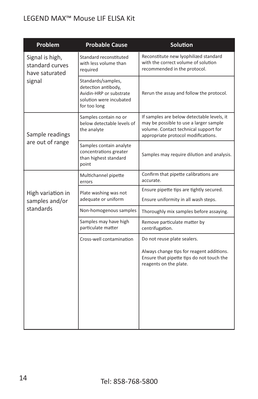| Problem                                              | <b>Probable Cause</b>                                                                                           | Solution                                                                                                                                                             |
|------------------------------------------------------|-----------------------------------------------------------------------------------------------------------------|----------------------------------------------------------------------------------------------------------------------------------------------------------------------|
| Signal is high,<br>standard curves<br>have saturated | Standard reconstituted<br>with less volume than<br>required                                                     | Reconstitute new lyophilized standard<br>with the correct volume of solution<br>recommended in the protocol.                                                         |
| signal                                               | Standards/samples,<br>detection antibody,<br>Avidin-HRP or substrate<br>solution were incubated<br>for too long | Rerun the assay and follow the protocol.                                                                                                                             |
| Sample readings                                      | Samples contain no or<br>below detectable levels of<br>the analyte                                              | If samples are below detectable levels, it<br>may be possible to use a larger sample<br>volume. Contact technical support for<br>appropriate protocol modifications. |
| are out of range                                     | Samples contain analyte<br>concentrations greater<br>than highest standard<br>point                             | Samples may require dilution and analysis.                                                                                                                           |
|                                                      | Multichannel pipette<br>errors                                                                                  | Confirm that pipette calibrations are<br>accurate.                                                                                                                   |
| High variation in<br>samples and/or                  | Plate washing was not<br>adequate or uniform                                                                    | Ensure pipette tips are tightly secured.<br>Ensure uniformity in all wash steps.                                                                                     |
| standards                                            | Non-homogenous samples                                                                                          | Thoroughly mix samples before assaying.                                                                                                                              |
|                                                      | Samples may have high<br>particulate matter                                                                     | Remove particulate matter by<br>centrifugation.                                                                                                                      |
|                                                      | Cross-well contamination                                                                                        | Do not reuse plate sealers.                                                                                                                                          |
|                                                      |                                                                                                                 | Always change tips for reagent additions.<br>Ensure that pipette tips do not touch the<br>reagents on the plate.                                                     |
|                                                      |                                                                                                                 |                                                                                                                                                                      |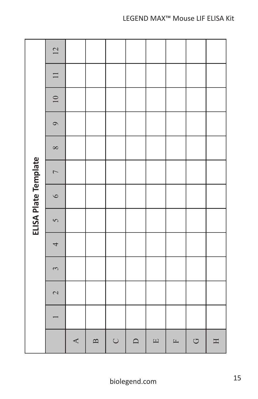| ELISA Plate Template | 12                       |                  |              |        |           |        |                       |                     |             |
|----------------------|--------------------------|------------------|--------------|--------|-----------|--------|-----------------------|---------------------|-------------|
|                      | $\Box$                   |                  |              |        |           |        |                       |                     |             |
|                      | $\overline{10}$          |                  |              |        |           |        |                       |                     |             |
|                      | $\circ$                  |                  |              |        |           |        |                       |                     |             |
|                      | $\infty$                 |                  |              |        |           |        |                       |                     |             |
|                      | $\overline{C}$           |                  |              |        |           |        |                       |                     |             |
|                      | $\circ$                  |                  |              |        |           |        |                       |                     |             |
|                      | $\overline{S}$           |                  |              |        |           |        |                       |                     |             |
|                      | 4                        |                  |              |        |           |        |                       |                     |             |
|                      | $\tilde{\mathfrak{c}}$   |                  |              |        |           |        |                       |                     |             |
|                      | $\overline{\mathcal{L}}$ |                  |              |        |           |        |                       |                     |             |
|                      |                          |                  |              |        |           |        |                       |                     |             |
|                      |                          | $\blacktriangle$ | $\mathbf{B}$ | $\cup$ | $\square$ | $\Box$ | $\boxed{\phantom{1}}$ | $\circlearrowright$ | $\mathbf H$ |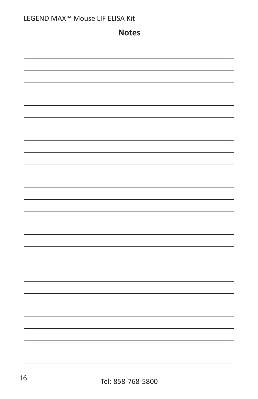|  | LEGEND MAX™ Mouse LIF ELISA Kit |
|--|---------------------------------|
|--|---------------------------------|

**Notes**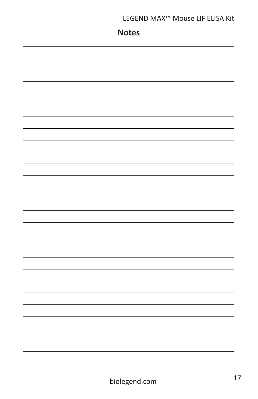## **Notes**